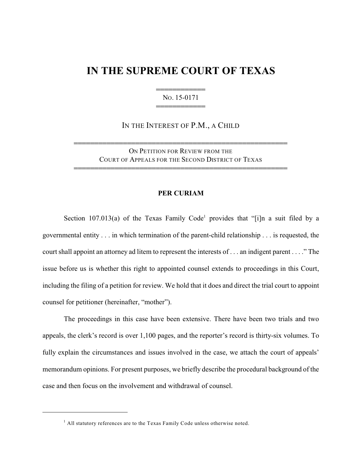## **IN THE SUPREME COURT OF TEXAS**

444444444444 NO. 15-0171 444444444444

IN THE INTEREST OF P.M., A CHILD

ON PETITION FOR REVIEW FROM THE COURT OF APPEALS FOR THE SECOND DISTRICT OF TEXAS

4444444444444444444444444444444444444444444444444444

4444444444444444444444444444444444444444444444444444

## **PER CURIAM**

Section 107.013(a) of the Texas Family Code<sup>1</sup> provides that "[i]n a suit filed by a governmental entity . . . in which termination of the parent-child relationship . . . is requested, the court shall appoint an attorney ad litem to represent the interests of . . . an indigent parent . . . ." The issue before us is whether this right to appointed counsel extends to proceedings in this Court, including the filing of a petition for review. We hold that it does and direct the trial court to appoint counsel for petitioner (hereinafter, "mother").

The proceedings in this case have been extensive. There have been two trials and two appeals, the clerk's record is over 1,100 pages, and the reporter's record is thirty-six volumes. To fully explain the circumstances and issues involved in the case, we attach the court of appeals' memorandum opinions. For present purposes, we briefly describe the procedural background of the case and then focus on the involvement and withdrawal of counsel.

 $<sup>1</sup>$  All statutory references are to the Texas Family Code unless otherwise noted.</sup>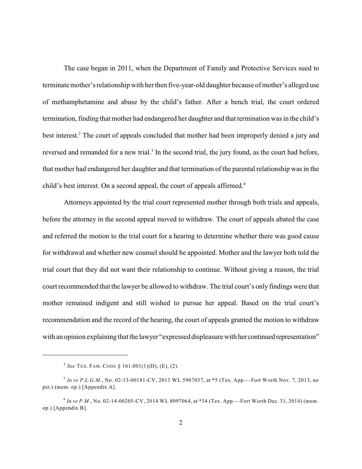The case began in 2011, when the Department of Family and Protective Services sued to terminate mother's relationship with her then five-year-old daughter because of mother's alleged use of methamphetamine and abuse by the child's father. After a bench trial, the court ordered termination, finding that mother had endangered her daughter and that termination was in the child's best interest.<sup>2</sup> The court of appeals concluded that mother had been improperly denied a jury and reversed and remanded for a new trial.<sup>3</sup> In the second trial, the jury found, as the court had before, that mother had endangered her daughter and that termination of the parental relationship was in the child's best interest. On a second appeal, the court of appeals affirmed.<sup>4</sup>

Attorneys appointed by the trial court represented mother through both trials and appeals, before the attorney in the second appeal moved to withdraw. The court of appeals abated the case and referred the motion to the trial court for a hearing to determine whether there was good cause for withdrawal and whether new counsel should be appointed. Mother and the lawyer both told the trial court that they did not want their relationship to continue. Without giving a reason, the trial court recommended that the lawyer be allowed to withdraw. The trial court's only findings were that mother remained indigent and still wished to pursue her appeal. Based on the trial court's recommendation and the record of the hearing, the court of appeals granted the motion to withdraw with an opinion explaining that the lawyer "expressed displeasurewith her continued representation"

<sup>&</sup>lt;sup>2</sup> See TEX. FAM. CODE § 161.001(1)(D), (E), (2).

<sup>&</sup>lt;sup>3</sup> In re P.L.G.M., No. 02-13-00181-CV, 2013 WL 5967037, at \*5 (Tex. App.—Fort Worth Nov. 7, 2013, no pet.) (mem. op.) [Appendix A].

*In re P.M.*, No. 02-14-00205-CV, 2014 WL 8097064, at \*34 (Tex. App.—Fort Worth Dec. 31, 2014) (mem. 4 op.) [Appendix B].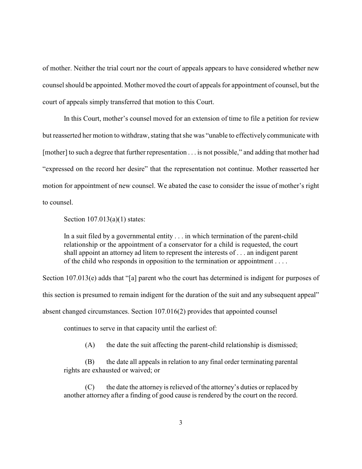of mother. Neither the trial court nor the court of appeals appears to have considered whether new counsel should be appointed. Mother moved the court of appeals for appointment of counsel, but the court of appeals simply transferred that motion to this Court.

In this Court, mother's counsel moved for an extension of time to file a petition for review but reasserted her motion to withdraw, stating that she was "unable to effectively communicate with [mother] to such a degree that further representation . . . is not possible," and adding that mother had "expressed on the record her desire" that the representation not continue. Mother reasserted her motion for appointment of new counsel. We abated the case to consider the issue of mother's right to counsel.

Section 107.013(a)(1) states:

In a suit filed by a governmental entity . . . in which termination of the parent-child relationship or the appointment of a conservator for a child is requested, the court shall appoint an attorney ad litem to represent the interests of . . . an indigent parent of the child who responds in opposition to the termination or appointment . . . .

Section 107.013(e) adds that "[a] parent who the court has determined is indigent for purposes of

this section is presumed to remain indigent for the duration of the suit and any subsequent appeal"

absent changed circumstances. Section 107.016(2) provides that appointed counsel

continues to serve in that capacity until the earliest of:

(A) the date the suit affecting the parent-child relationship is dismissed;

(B) the date all appeals in relation to any final order terminating parental rights are exhausted or waived; or

(C) the date the attorney is relieved of the attorney's duties or replaced by another attorney after a finding of good cause is rendered by the court on the record.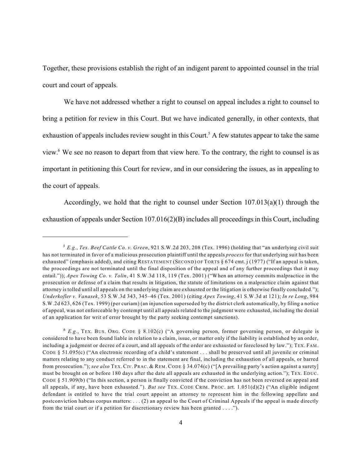Together, these provisions establish the right of an indigent parent to appointed counsel in the trial court and court of appeals.

We have not addressed whether a right to counsel on appeal includes a right to counsel to bring a petition for review in this Court. But we have indicated generally, in other contexts, that exhaustion of appeals includes review sought in this Court.<sup>5</sup> A few statutes appear to take the same view.<sup>6</sup> We see no reason to depart from that view here. To the contrary, the right to counsel is as important in petitioning this Court for review, and in our considering the issues, as in appealing to the court of appeals.

Accordingly, we hold that the right to counsel under Section 107.013(a)(1) through the exhaustion of appeals under Section 107.016(2)(B) includes all proceedings in this Court, including

*E.g.*, *Tex. Beef Cattle Co. v. Green*, 921 S.W.2d 203, 208 (Tex. 1996) (holding that "an underlying civil suit 5 has not terminated in favor of a malicious prosecution plaintiff until the appeals *process* for that underlying suit has been exhausted" (emphasis added), and citing RESTATEMENT (SECOND) OF TORTS § 674 cmt. j (1977) ("If an appeal is taken, the proceedings are not terminated until the final disposition of the appeal and of any further proceedings that it may entail.")); *Apex Towing Co. v. Tolin*, 41 S.W.3d 118, 119 (Tex. 2001) ("When an attorney commits malpractice in the prosecution or defense of a claim that results in litigation, the statute of limitations on a malpractice claim against that attorney istolled until all appeals on the underlying claim are exhausted or the litigation is otherwise finally concluded."); *Underkofler v. Vanasek*, 53 S.W.3d 343, 345–46 (Tex. 2001) (citing *Apex Towing*, 41 S.W.3d at 121); *In re Long*, 984 S.W.2d 623, 626 (Tex. 1999) (per curiam) (an injunction superseded by the district clerk automatically, by filing a notice of appeal, was not enforceable by contempt until all appeals related to the judgment were exhausted, including the denial of an application for writ of error brought by the party seeking contempt sanctions).

<sup>&</sup>lt;sup>6</sup> E.g., TEX. BUS. ORG. CODE § 8.102(c) ("A governing person, former governing person, or delegate is considered to have been found liable in relation to a claim, issue, or matter only if the liability is established by an order, including a judgment or decree of a court, and all appeals of the order are exhausted or foreclosed by law."); TEX. FAM. CODE § 51.095(c) ("An electronic recording of a child's statement . . . shall be preserved until all juvenile or criminal matters relating to any conduct referred to in the statement are final, including the exhaustion of all appeals, or barred from prosecution."); *see also* TEX. CIV. PRAC. & REM. CODE § 34.074(c) ("[A prevailing party's action against a surety] must be brought on or before 180 days after the date all appeals are exhausted in the underlying action."); TEX. EDUC. CODE  $\S$  51.909(b) ("In this section, a person is finally convicted if the conviction has not been reversed on appeal and all appeals, if any, have been exhausted."). *But see* TEX. CODE CRIM. PROC. art. 1.051(d)(2) ("An eligible indigent defendant is entitled to have the trial court appoint an attorney to represent him in the following appellate and postconviction habeas corpus matters: . . . (2) an appeal to the Court of Criminal Appeals if the appeal is made directly from the trial court or if a petition for discretionary review has been granted . . . .").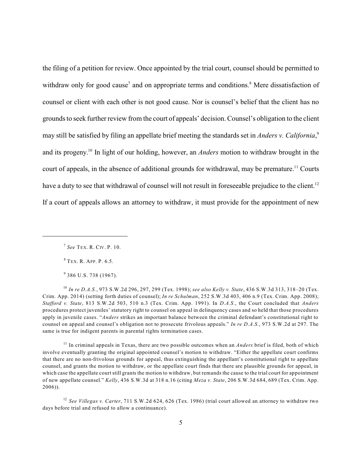the filing of a petition for review. Once appointed by the trial court, counsel should be permitted to withdraw only for good cause<sup>7</sup> and on appropriate terms and conditions.<sup>8</sup> Mere dissatisfaction of counsel or client with each other is not good cause. Nor is counsel's belief that the client has no grounds to seek further review from the court of appeals' decision. Counsel's obligation to the client may still be satisfied by filing an appellate brief meeting the standards set in *Anders v. California*, 9 and its progeny.<sup>10</sup> In light of our holding, however, an *Anders* motion to withdraw brought in the court of appeals, in the absence of additional grounds for withdrawal, may be premature.<sup>11</sup> Courts have a duty to see that withdrawal of counsel will not result in foreseeable prejudice to the client.<sup>12</sup> If a court of appeals allows an attorney to withdraw, it must provide for the appointment of new

<sup>8</sup> TEX. R. APP. P. 6.5.

 $9$  386 U.S. 738 (1967).

*In re D.A.S.*, 973 S.W.2d 296, 297, 299 (Tex. 1998); *see also Kelly v. State*, 436 S.W.3d 313, 318–20 (Tex. 10 Crim. App. 2014) (setting forth duties of counsel); *In re Schulman*, 252 S.W.3d 403, 406 n.9 (Tex. Crim. App. 2008); *Stafford v. State*, 813 S.W.2d 503, 510 n.3 (Tex. Crim. App. 1991). In *D.A.S.*, the Court concluded that *Anders* procedures protect juveniles' statutory right to counsel on appeal in delinquency cases and so held that those procedures apply in juvenile cases. "*Anders* strikes an important balance between the criminal defendant's constitutional right to counsel on appeal and counsel's obligation not to prosecute frivolous appeals." *In re D.A.S.*, 973 S.W.2d at 297. The same is true for indigent parents in parental rights termination cases.

<sup>11</sup> In criminal appeals in Texas, there are two possible outcomes when an *Anders* brief is filed, both of which involve eventually granting the original appointed counsel's motion to withdraw. "Either the appellate court confirms that there are no non-frivolous grounds for appeal, thus extinguishing the appellant's constitutional right to appellate counsel, and grants the motion to withdraw, or the appellate court finds that there are plausible grounds for appeal, in which case the appellate court still grants the motion to withdraw, but remands the cause to the trial court for appointment of new appellate counsel." *Kelly*, 436 S.W.3d at 318 n.16 (citing *Meza v. State*, 206 S.W.3d 684, 689 (Tex. Crim. App. 2006)).

*See Villegas v. Carter*, 711 S.W.2d 624, 626 (Tex. 1986) (trial court allowed an attorney to withdraw two 12 days before trial and refused to allow a continuance).

*See* TEX. R. CIV. P. 10. 7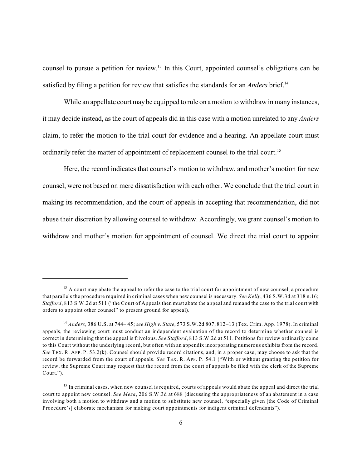counsel to pursue a petition for review.<sup>13</sup> In this Court, appointed counsel's obligations can be satisfied by filing a petition for review that satisfies the standards for an *Anders* brief.<sup>14</sup>

While an appellate court may be equipped to rule on a motion to withdraw in many instances, it may decide instead, as the court of appeals did in this case with a motion unrelated to any *Anders* claim, to refer the motion to the trial court for evidence and a hearing. An appellate court must ordinarily refer the matter of appointment of replacement counsel to the trial court.<sup>15</sup>

Here, the record indicates that counsel's motion to withdraw, and mother's motion for new counsel, were not based on mere dissatisfaction with each other. We conclude that the trial court in making its recommendation, and the court of appeals in accepting that recommendation, did not abuse their discretion by allowing counsel to withdraw. Accordingly, we grant counsel's motion to withdraw and mother's motion for appointment of counsel. We direct the trial court to appoint

 $13$  A court may abate the appeal to refer the case to the trial court for appointment of new counsel, a procedure that parallels the procedure required in criminal cases when new counsel is necessary. *See Kelly*, 436 S.W.3d at 318 n.16; *Stafford*, 813 S.W.2d at 511 ("the Court of Appeals then must abate the appeal and remand the case to the trial court with orders to appoint other counsel" to present ground for appeal).

*Anders*, 386 U.S. at 744– 45; *see High v. State*, 573 S.W.2d 807, 812–13 (Tex. Crim. App. 1978). In criminal 14 appeals, the reviewing court must conduct an independent evaluation of the record to determine whether counsel is correct in determining that the appeal is frivolous. *See Stafford*, 813 S.W.2d at 511. Petitions for review ordinarily come to this Court without the underlying record, but often with an appendix incorporating numerous exhibits from the record. *See* TEX. R. APP. P. 53.2(k). Counsel should provide record citations, and, in a proper case, may choose to ask that the record be forwarded from the court of appeals. *See* TEX. R. APP. P. 54.1 ("With or without granting the petition for review, the Supreme Court may request that the record from the court of appeals be filed with the clerk of the Supreme Court.").

<sup>&</sup>lt;sup>15</sup> In criminal cases, when new counsel is required, courts of appeals would abate the appeal and direct the trial court to appoint new counsel. *See Meza*, 206 S.W.3d at 688 (discussing the appropriateness of an abatement in a case involving both a motion to withdraw and a motion to substitute new counsel, "especially given [the Code of Criminal Procedure's] elaborate mechanism for making court appointments for indigent criminal defendants").